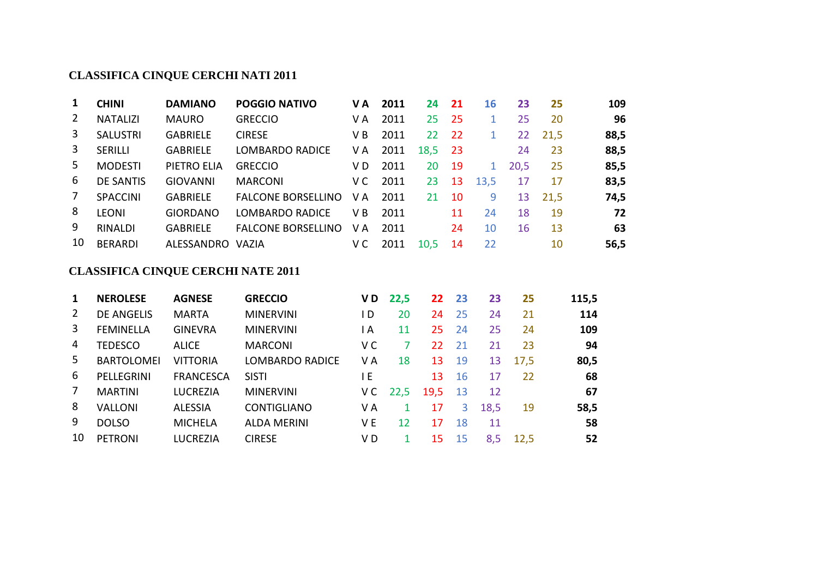| 1              | <b>CHINI</b>     | <b>DAMIANO</b>  | <b>POGGIO NATIVO</b>      | VА  | 2011 | 24   | 21  | 16   | 23   | 25   | 109  |
|----------------|------------------|-----------------|---------------------------|-----|------|------|-----|------|------|------|------|
| $\overline{2}$ | <b>NATALIZI</b>  | <b>MAURO</b>    | <b>GRECCIO</b>            | V A | 2011 | 25   | 25  |      | 25   | 20   | 96   |
| 3              | <b>SALUSTRI</b>  | <b>GABRIELE</b> | <b>CIRESE</b>             | V B | 2011 | 22   | -22 |      | 22   | 21,5 | 88,5 |
| 3              | <b>SERILLI</b>   | <b>GABRIELE</b> | LOMBARDO RADICE           | V A | 2011 | 18,5 | -23 |      | 24   | 23   | 88,5 |
| 5              | <b>MODESTI</b>   | PIETRO ELIA     | <b>GRECCIO</b>            | V D | 2011 | 20   | -19 |      | 20,5 | 25   | 85,5 |
| 6              | <b>DE SANTIS</b> | <b>GIOVANNI</b> | <b>MARCONI</b>            | V C | 2011 | 23   | 13  | 13,5 | 17   | 17   | 83,5 |
| 7              | <b>SPACCINI</b>  | <b>GABRIELE</b> | <b>FALCONE BORSELLINO</b> | V A | 2011 | 21   | 10  | 9    | 13   | 21,5 | 74,5 |
| 8              | <b>LEONI</b>     | <b>GIORDANO</b> | LOMBARDO RADICE           | V B | 2011 |      | 11  | 24   | 18   | 19   | 72   |
| 9              | <b>RINALDI</b>   | <b>GABRIELE</b> | <b>FALCONE BORSELLINO</b> | V A | 2011 |      | 24  | 10   | 16   | 13   | 63   |
| 10             | <b>BERARDI</b>   | ALESSANDRO      | <b>VAZIA</b>              | v c | 2011 | 10,5 | 14  | 22   |      | 10   | 56,5 |

| 1  | <b>NEROLESE</b>   | <b>AGNESE</b>    | <b>GRECCIO</b>         | V D | 22,5 | 22   | -23 | 23   | 25   | 115,5 |
|----|-------------------|------------------|------------------------|-----|------|------|-----|------|------|-------|
| 2  | <b>DE ANGELIS</b> | <b>MARTA</b>     | <b>MINERVINI</b>       | I D | 20   | 24   | 25  | 24   | 21   | 114   |
| 3  | <b>FEMINELLA</b>  | <b>GINEVRA</b>   | <b>MINERVINI</b>       | l A | 11   | 25   | 24  | 25   | 24   | 109   |
| 4  | <b>TEDESCO</b>    | <b>ALICE</b>     | <b>MARCONI</b>         | V C |      | 22.  | 21  | 21   | 23   | 94    |
| 5  | <b>BARTOLOMEI</b> | <b>VITTORIA</b>  | <b>LOMBARDO RADICE</b> | V A | 18   | 13   | 19  | 13   | 17,5 | 80,5  |
| 6  | PELLEGRINI        | <b>FRANCESCA</b> | <b>SISTI</b>           | ١E  |      | 13   | 16  | 17   | 22   | 68    |
| 7  | <b>MARTINI</b>    | <b>LUCREZIA</b>  | <b>MINERVINI</b>       | V C | 22,5 | 19,5 | 13  | 12   |      | 67    |
| 8  | <b>VALLONI</b>    | <b>ALESSIA</b>   | <b>CONTIGLIANO</b>     | V A |      | 17   | 3   | 18,5 | 19   | 58,5  |
| 9  | <b>DOLSO</b>      | <b>MICHELA</b>   | <b>ALDA MERINI</b>     | V E | 12   | 17   | 18  | 11   |      | 58    |
| 10 | <b>PETRONI</b>    | <b>LUCREZIA</b>  | <b>CIRESE</b>          | V D |      | 15   | 15  | 8,5  | 12,5 | 52    |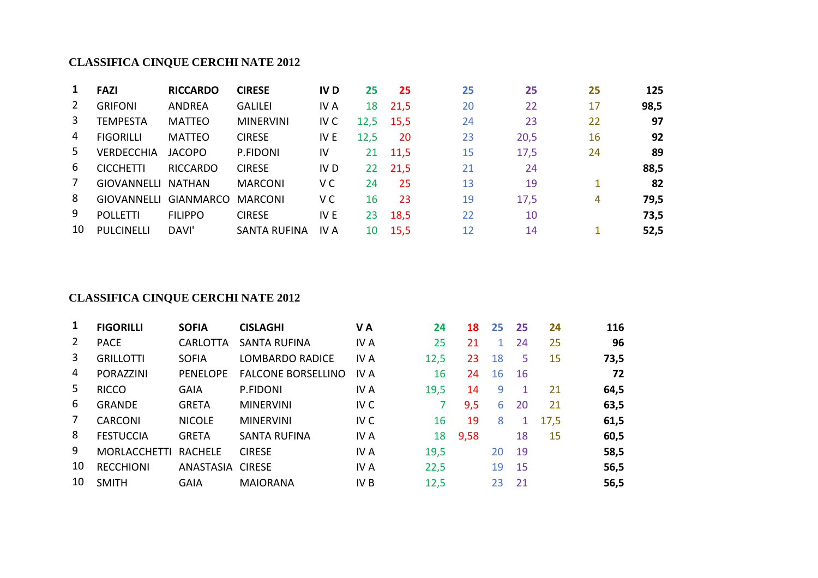| 1  | <b>FAZI</b>       | <b>RICCARDO</b> | <b>CIRESE</b>       | <b>IVD</b>      | 25   | 25      | 25 | 25   | 25 | 125  |
|----|-------------------|-----------------|---------------------|-----------------|------|---------|----|------|----|------|
| 2  | <b>GRIFONI</b>    | <b>ANDREA</b>   | <b>GALILEI</b>      | IV A            | 18   | 21,5    | 20 | 22   | 17 | 98,5 |
| 3  | TEMPESTA          | <b>MATTEO</b>   | <b>MINERVINI</b>    | IV C            | 12,5 | 15,5    | 24 | 23   | 22 | 97   |
| 4  | <b>FIGORILLI</b>  | <b>MATTEO</b>   | <b>CIRESE</b>       | IV E            | 12,5 | 20      | 23 | 20,5 | 16 | 92   |
| 5. | <b>VERDECCHIA</b> | <b>JACOPO</b>   | P.FIDONI            | IV              |      | 21 11,5 | 15 | 17,5 | 24 | 89   |
| 6  | <b>CICCHETTI</b>  | <b>RICCARDO</b> | <b>CIRESE</b>       | IV <sub>D</sub> | 22   | 21,5    | 21 | 24   |    | 88,5 |
| 7  | GIOVANNELLI       | NATHAN          | <b>MARCONI</b>      | V C             | 24   | 25      | 13 | 19   |    | 82   |
| 8  | GIOVANNELLI       | GIANMARCO       | <b>MARCONI</b>      | V C             | 16   | 23      | 19 | 17,5 | 4  | 79,5 |
| 9  | <b>POLLETTI</b>   | <b>FILIPPO</b>  | <b>CIRESE</b>       | IV E            | 23   | 18,5    | 22 | 10   |    | 73,5 |
| 10 | <b>PULCINELLI</b> | DAVI'           | <b>SANTA RUFINA</b> | IV A            | 10   | 15,5    | 12 | 14   |    | 52,5 |

| 1  | <b>FIGORILLI</b>    | <b>SOFIA</b>   | <b>CISLAGHI</b>           | VA              | 24   | 18   | 25 | -25 | 24   | 116  |
|----|---------------------|----------------|---------------------------|-----------------|------|------|----|-----|------|------|
| 2  | <b>PACE</b>         | CARLOTTA       | <b>SANTA RUFINA</b>       | IV A            | 25   | 21   | 1. | 24  | 25   | 96   |
| 3  | <b>GRILLOTTI</b>    | <b>SOFIA</b>   | <b>LOMBARDO RADICE</b>    | IV A            | 12,5 | 23   | 18 | 5   | 15   | 73,5 |
| 4  | <b>PORAZZINI</b>    | PENELOPE       | <b>FALCONE BORSELLINO</b> | IV A            | 16   | 24   | 16 | 16  |      | 72   |
| 5  | <b>RICCO</b>        | <b>GAIA</b>    | P.FIDONI                  | IV A            | 19,5 | 14   | 9  |     | 21   | 64,5 |
| 6  | <b>GRANDE</b>       | <b>GRETA</b>   | <b>MINERVINI</b>          | IV <sub>C</sub> |      | 9,5  | 6  | 20  | 21   | 63,5 |
| 7  | <b>CARCONI</b>      | <b>NICOLE</b>  | <b>MINERVINI</b>          | IV <sub>C</sub> | 16   | 19   | 8  | 1   | 17,5 | 61,5 |
| 8  | <b>FESTUCCIA</b>    | <b>GRETA</b>   | <b>SANTA RUFINA</b>       | IV A            | 18   | 9,58 |    | 18  | 15   | 60,5 |
| 9  | <b>MORLACCHETTI</b> | <b>RACHELE</b> | <b>CIRESE</b>             | IV A            | 19,5 |      | 20 | 19  |      | 58,5 |
| 10 | <b>RECCHIONI</b>    | ANASTASIA      | <b>CIRESE</b>             | IV A            | 22,5 |      | 19 | 15  |      | 56,5 |
| 10 | <b>SMITH</b>        | <b>GAIA</b>    | <b>MAIORANA</b>           | IV B            | 12,5 |      | 23 | 21  |      | 56,5 |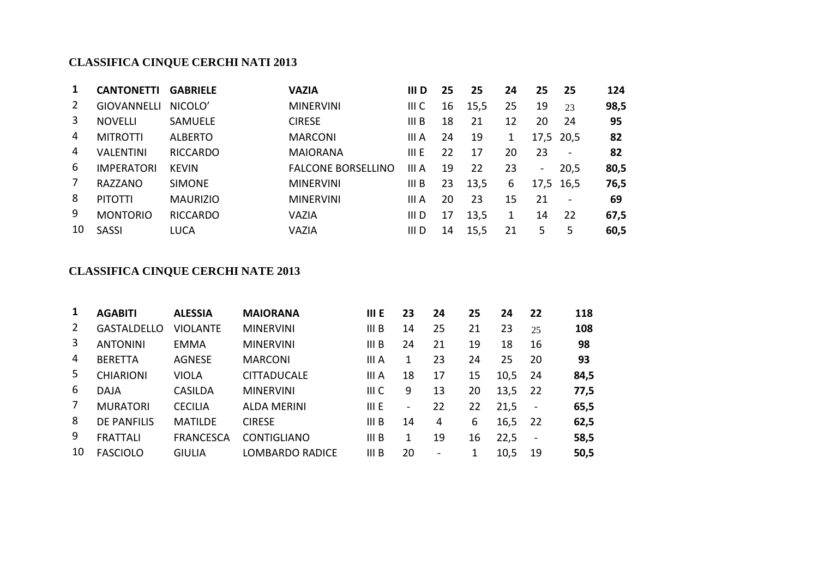| 1  | <b>CANTONETTI</b>  | <b>GABRIELE</b> | <b>VAZIA</b>              | III D | 25 | 25   | 24 | 25             | 25                       | 124  |
|----|--------------------|-----------------|---------------------------|-------|----|------|----|----------------|--------------------------|------|
| 2  | <b>GIOVANNELLI</b> | NICOLO'         | <b>MINERVINI</b>          | III C | 16 | 15,5 | 25 | 19             | 23                       | 98,5 |
| 3  | <b>NOVELLI</b>     | <b>SAMUELE</b>  | <b>CIRESE</b>             | III B | 18 | 21   | 12 | 20             | 24                       | 95   |
| 4  | <b>MITROTTI</b>    | <b>ALBERTO</b>  | <b>MARCONI</b>            | III A | 24 | 19   | 1  |                | 17,5 20,5                | 82   |
| 4  | <b>VALENTINI</b>   | <b>RICCARDO</b> | <b>MAIORANA</b>           | III E | 22 | 17   | 20 | 23             | $\overline{\phantom{0}}$ | 82   |
| 6  | <b>IMPERATORI</b>  | <b>KEVIN</b>    | <b>FALCONE BORSELLINO</b> | III A | 19 | 22   | 23 | $\blacksquare$ | 20,5                     | 80,5 |
| 7  | RAZZANO            | <b>SIMONE</b>   | <b>MINERVINI</b>          | III B | 23 | 13,5 | 6  |                | 17,5 16,5                | 76,5 |
| 8  | <b>PITOTTI</b>     | <b>MAURIZIO</b> | <b>MINERVINI</b>          | III A | 20 | 23   | 15 | 21             | $\overline{\phantom{a}}$ | 69   |
| 9  | <b>MONTORIO</b>    | <b>RICCARDO</b> | VAZIA                     | III D | 17 | 13,5 | 1  | 14             | -22                      | 67,5 |
| 10 | <b>SASSI</b>       | <b>LUCA</b>     | VAZIA                     | III D | 14 | 15,5 | 21 | 5              | 5                        | 60,5 |

| 1  | <b>AGABITI</b>     | <b>ALESSIA</b>   | <b>MAIORANA</b>    | III E            | 23              | 24                       | 25 | 24   | 22                       | 118  |
|----|--------------------|------------------|--------------------|------------------|-----------------|--------------------------|----|------|--------------------------|------|
| 2  | <b>GASTALDELLO</b> | <b>VIOLANTE</b>  | <b>MINERVINI</b>   | III <sub>B</sub> | 14              | 25                       | 21 | 23   | 25                       | 108  |
| 3  | <b>ANTONINI</b>    | <b>EMMA</b>      | <b>MINERVINI</b>   | III <sub>B</sub> | 24              | 21                       | 19 | 18   | 16                       | 98   |
| 4  | <b>BERETTA</b>     | <b>AGNESE</b>    | <b>MARCONI</b>     | III A            | 1               | 23                       | 24 | 25   | 20                       | 93   |
| 5  | <b>CHIARIONI</b>   | VIOLA            | <b>CITTADUCALE</b> | III A            | 18              | 17                       | 15 | 10,5 | 24                       | 84,5 |
| 6  | DAJA               | <b>CASILDA</b>   | <b>MINERVINI</b>   | III <sub>C</sub> | 9               | 13                       | 20 | 13,5 | 22                       | 77,5 |
| 7  | <b>MURATORI</b>    | <b>CECILIA</b>   | <b>ALDA MERINI</b> | III E            | $\qquad \qquad$ | 22                       | 22 | 21,5 | $\overline{\phantom{a}}$ | 65,5 |
| 8  | <b>DE PANFILIS</b> | <b>MATILDE</b>   | <b>CIRESE</b>      | III B            | 14              | 4                        | 6  | 16,5 | 22                       | 62,5 |
| 9  | <b>FRATTALI</b>    | <b>FRANCESCA</b> | <b>CONTIGLIANO</b> | III <sub>B</sub> | 1               | 19                       | 16 | 22,5 | $\blacksquare$           | 58,5 |
| 10 | <b>FASCIOLO</b>    | <b>GIULIA</b>    | LOMBARDO RADICE    | III <sub>B</sub> | 20              | $\overline{\phantom{a}}$ |    | 10,5 | 19                       | 50,5 |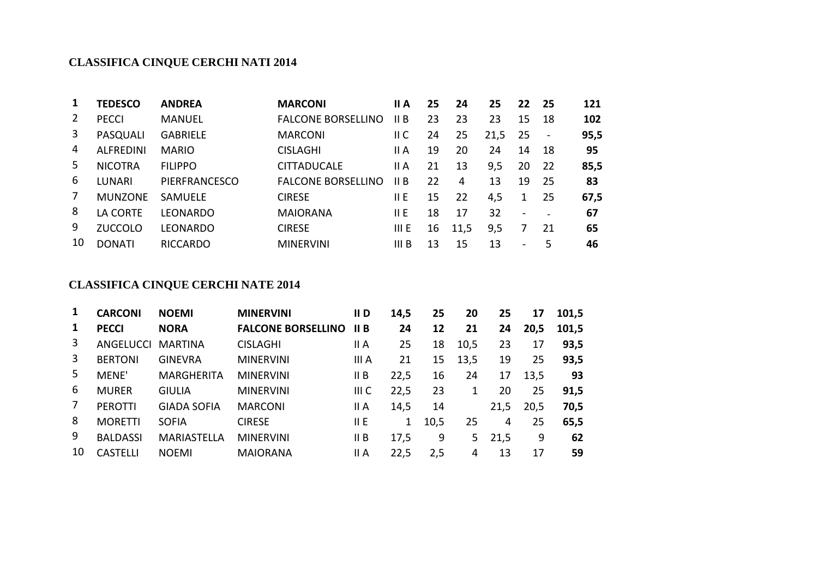|    | <b>TEDESCO</b>   | <b>ANDREA</b>   | <b>MARCONI</b>            | II A  | 25 | 24   | 25   | 22                       | -25            | 121  |
|----|------------------|-----------------|---------------------------|-------|----|------|------|--------------------------|----------------|------|
|    | <b>PECCI</b>     | MANUEL          | <b>FALCONE BORSELLINO</b> | II B  | 23 | 23   | 23   | 15                       | 18             | 102  |
| 3  | PASQUALI         | <b>GABRIELE</b> | <b>MARCONI</b>            | II C  | 24 | 25   | 21,5 | 25                       | $\blacksquare$ | 95,5 |
| 4  | <b>ALFREDINI</b> | <b>MARIO</b>    | <b>CISLAGHI</b>           | II A  | 19 | 20   | 24   | 14                       | 18             | 95   |
| 5. | <b>NICOTRA</b>   | <b>FILIPPO</b>  | <b>CITTADUCALE</b>        | II A  | 21 | 13   | 9,5  | 20                       | 22             | 85,5 |
| 6  | LUNARI           | PIERFRANCESCO   | <b>FALCONE BORSELLINO</b> | II B  | 22 | 4    | 13   | 19                       | 25             | 83   |
|    | <b>MUNZONE</b>   | <b>SAMUELE</b>  | <b>CIRESE</b>             | 11 E  | 15 | 22   | 4,5  |                          | 25             | 67,5 |
| 8  | LA CORTE         | LEONARDO        | <b>MAIORANA</b>           | 11 E  | 18 | 17   | 32   | $\overline{\phantom{a}}$ |                | 67   |
| 9  | <b>ZUCCOLO</b>   | LEONARDO        | <b>CIRESE</b>             | III E | 16 | 11,5 | 9,5  |                          | 21             | 65   |
| 10 | <b>DONATI</b>    | <b>RICCARDO</b> | <b>MINERVINI</b>          | III B | 13 | 15   | 13   | $\overline{\phantom{a}}$ | 5              | 46   |

|    | <b>CARCONI</b>  | <b>NOEMI</b>       | <b>MINERVINI</b>          | II D  | 14,5         | 25   | 20   | 25   | 17   | 101,5 |
|----|-----------------|--------------------|---------------------------|-------|--------------|------|------|------|------|-------|
|    | <b>PECCI</b>    | <b>NORA</b>        | <b>FALCONE BORSELLINO</b> | II B  | 24           | 12   | 21   | 24   | 20,5 | 101,5 |
| 3  | ANGELUCCI       | <b>MARTINA</b>     | <b>CISLAGHI</b>           | II A  | 25           | 18   | 10,5 | 23   | 17   | 93,5  |
| 3  | <b>BERTONI</b>  | <b>GINEVRA</b>     | <b>MINERVINI</b>          | III A | 21           | 15   | 13,5 | 19   | 25   | 93,5  |
| 5. | MENE'           | <b>MARGHERITA</b>  | <b>MINERVINI</b>          | II B  | 22,5         | 16   | 24   | 17   | 13,5 | 93    |
| 6  | <b>MURER</b>    | GIULIA             | <b>MINERVINI</b>          | III C | 22,5         | 23   | 1    | 20   | 25   | 91,5  |
| 7  | <b>PEROTTI</b>  | <b>GIADA SOFIA</b> | <b>MARCONI</b>            | II A  | 14,5         | 14   |      | 21,5 | 20,5 | 70,5  |
| 8  | <b>MORETTI</b>  | <b>SOFIA</b>       | <b>CIRESE</b>             | 11 E  | $\mathbf{1}$ | 10,5 | 25   | 4    | 25   | 65,5  |
| 9  | <b>BALDASSI</b> | <b>MARIASTELLA</b> | <b>MINERVINI</b>          | II B  | 17,5         | 9    | 5    | 21,5 | 9    | 62    |
| 10 | <b>CASTELLI</b> | <b>NOEMI</b>       | <b>MAIORANA</b>           | II A  | 22,5         | 2,5  | 4    | 13   | 17   | 59    |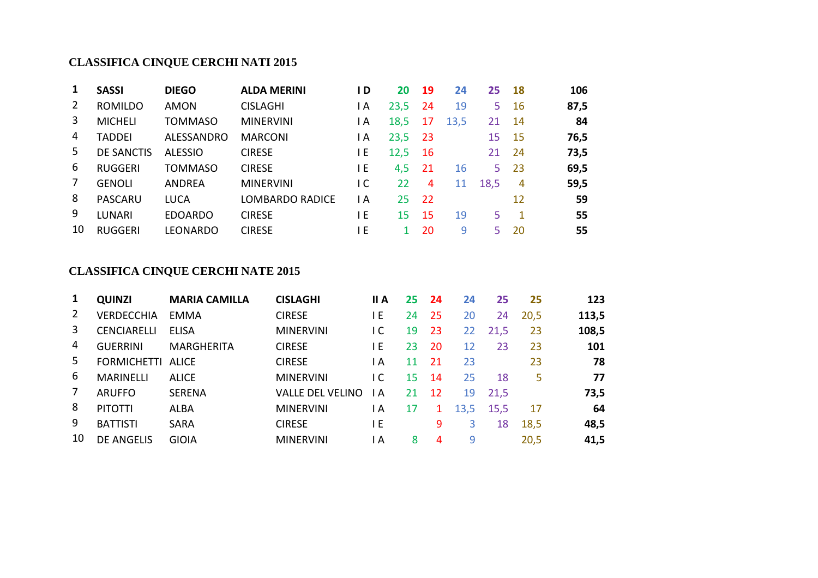|    | <b>SASSI</b>      | <b>DIEGO</b>   | <b>ALDA MERINI</b> | D   | 20   | 19   | 24   | 25   | 18             | 106  |
|----|-------------------|----------------|--------------------|-----|------|------|------|------|----------------|------|
|    | <b>ROMILDO</b>    | <b>AMON</b>    | <b>CISLAGHI</b>    | l A | 23,5 | 24   | 19   | 5    | 16             | 87,5 |
| 3  | <b>MICHELI</b>    | <b>TOMMASO</b> | <b>MINERVINI</b>   | l A | 18,5 | 17   | 13,5 | 21   | 14             | 84   |
| 4  | TADDEI            | ALESSANDRO     | <b>MARCONI</b>     | l A | 23,5 | -23  |      | 15   | 15             | 76,5 |
| 5. | <b>DE SANCTIS</b> | <b>ALESSIO</b> | <b>CIRESE</b>      | ١E  | 12,5 | -16  |      | 21   | 24             | 73,5 |
| 6  | <b>RUGGERI</b>    | TOMMASO        | <b>CIRESE</b>      | l E | 4,5  | -21  | 16   | 5    | 23             | 69,5 |
|    | <b>GENOLI</b>     | <b>ANDREA</b>  | <b>MINERVINI</b>   | I C | 22   | 4    | 11   | 18,5 | $\overline{4}$ | 59,5 |
| 8  | <b>PASCARU</b>    | <b>LUCA</b>    | LOMBARDO RADICE    | l A | 25   | - 22 |      |      | 12             | 59   |
| 9  | LUNARI            | <b>EDOARDO</b> | <b>CIRESE</b>      | l E | 15   | 15   | 19   | 5    | 1              | 55   |
| 10 | <b>RUGGERI</b>    | LEONARDO       | <b>CIRESE</b>      | ١E  |      | 20   | 9    | 5.   | 20             | 55   |

| 1              | <b>QUINZI</b>            | <b>MARIA CAMILLA</b> | <b>CISLAGHI</b>         | II A | 25 | 24           | 24   | 25   | 25   | 123   |
|----------------|--------------------------|----------------------|-------------------------|------|----|--------------|------|------|------|-------|
| $\overline{2}$ | <b>VERDECCHIA</b>        | EMMA                 | <b>CIRESE</b>           | ΙE   | 24 | 25           | 20   | 24   | 20,5 | 113,5 |
| 3              | <b>CENCIARELLI</b>       | <b>ELISA</b>         | <b>MINERVINI</b>        | I C  | 19 | 23           | 22   | 21,5 | 23   | 108,5 |
| 4              | <b>GUERRINI</b>          | <b>MARGHERITA</b>    | <b>CIRESE</b>           | ΙE   | 23 | 20           | 12   | 23   | 23   | 101   |
| 5.             | <b>FORMICHETTI ALICE</b> |                      | <b>CIRESE</b>           | I A  | 11 | 21           | 23   |      | 23   | 78    |
| 6              | <b>MARINELLI</b>         | <b>ALICE</b>         | <b>MINERVINI</b>        | I C  | 15 | 14           | 25   | 18   | 5    | 77    |
| 7              | <b>ARUFFO</b>            | <b>SERENA</b>        | <b>VALLE DEL VELINO</b> | I A  | 21 | -12          | 19   | 21,5 |      | 73,5  |
| 8              | <b>PITOTTI</b>           | ALBA                 | <b>MINERVINI</b>        | l A  | 17 | $\mathbf{1}$ | 13,5 | 15,5 | 17   | 64    |
| 9              | <b>BATTISTI</b>          | <b>SARA</b>          | <b>CIRESE</b>           | 1 E  |    | 9            | 3    | 18   | 18,5 | 48,5  |
| 10             | <b>DE ANGELIS</b>        | <b>GIOIA</b>         | <b>MINERVINI</b>        | ΙA   | 8  | 4            | 9    |      | 20,5 | 41,5  |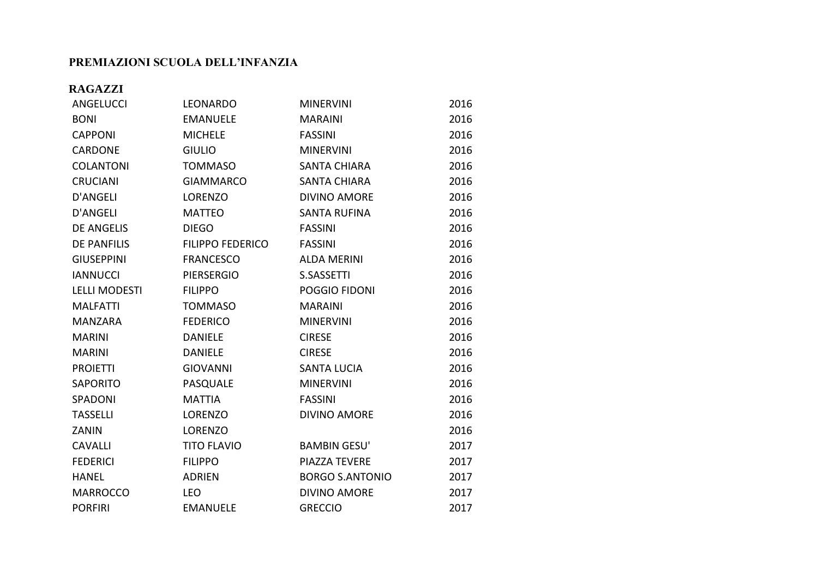#### **PREMIAZIONI SCUOLA DELL'INFANZIA**

#### **RAGAZZI**

| ANGELUCCI            | <b>LEONARDO</b>         | <b>MINERVINI</b>       | 2016 |
|----------------------|-------------------------|------------------------|------|
| <b>BONI</b>          | <b>EMANUELE</b>         | <b>MARAINI</b>         | 2016 |
| <b>CAPPONI</b>       | <b>MICHELE</b>          | <b>FASSINI</b>         | 2016 |
| <b>CARDONE</b>       | <b>GIULIO</b>           | <b>MINERVINI</b>       | 2016 |
| <b>COLANTONI</b>     | <b>TOMMASO</b>          | <b>SANTA CHIARA</b>    | 2016 |
| <b>CRUCIANI</b>      | <b>GIAMMARCO</b>        | <b>SANTA CHIARA</b>    | 2016 |
| <b>D'ANGELI</b>      | <b>LORENZO</b>          | <b>DIVINO AMORE</b>    | 2016 |
| <b>D'ANGELI</b>      | <b>MATTEO</b>           | <b>SANTA RUFINA</b>    | 2016 |
| <b>DE ANGELIS</b>    | <b>DIEGO</b>            | <b>FASSINI</b>         | 2016 |
| <b>DE PANFILIS</b>   | <b>FILIPPO FEDERICO</b> | <b>FASSINI</b>         | 2016 |
| <b>GIUSEPPINI</b>    | <b>FRANCESCO</b>        | <b>ALDA MERINI</b>     | 2016 |
| <b>IANNUCCI</b>      | <b>PIERSERGIO</b>       | <b>S.SASSETTI</b>      | 2016 |
| <b>LELLI MODESTI</b> | <b>FILIPPO</b>          | POGGIO FIDONI          | 2016 |
| <b>MALFATTI</b>      | <b>TOMMASO</b>          | <b>MARAINI</b>         | 2016 |
| <b>MANZARA</b>       | <b>FEDERICO</b>         | <b>MINERVINI</b>       | 2016 |
| <b>MARINI</b>        | <b>DANIELE</b>          | <b>CIRESE</b>          | 2016 |
| <b>MARINI</b>        | <b>DANIELE</b>          | <b>CIRESE</b>          | 2016 |
| <b>PROIETTI</b>      | <b>GIOVANNI</b>         | <b>SANTA LUCIA</b>     | 2016 |
| <b>SAPORITO</b>      | PASQUALE                | <b>MINERVINI</b>       | 2016 |
| SPADONI              | <b>MATTIA</b>           | <b>FASSINI</b>         | 2016 |
| <b>TASSELLI</b>      | LORENZO                 | <b>DIVINO AMORE</b>    | 2016 |
| ZANIN                | <b>LORENZO</b>          |                        | 2016 |
| <b>CAVALLI</b>       | <b>TITO FLAVIO</b>      | <b>BAMBIN GESU'</b>    | 2017 |
| <b>FEDERICI</b>      | <b>FILIPPO</b>          | PIAZZA TEVERE          | 2017 |
| <b>HANEL</b>         | <b>ADRIEN</b>           | <b>BORGO S.ANTONIO</b> | 2017 |
| <b>MARROCCO</b>      | <b>LEO</b>              | <b>DIVINO AMORE</b>    | 2017 |
| <b>PORFIRI</b>       | <b>EMANUELE</b>         | <b>GRECCIO</b>         | 2017 |